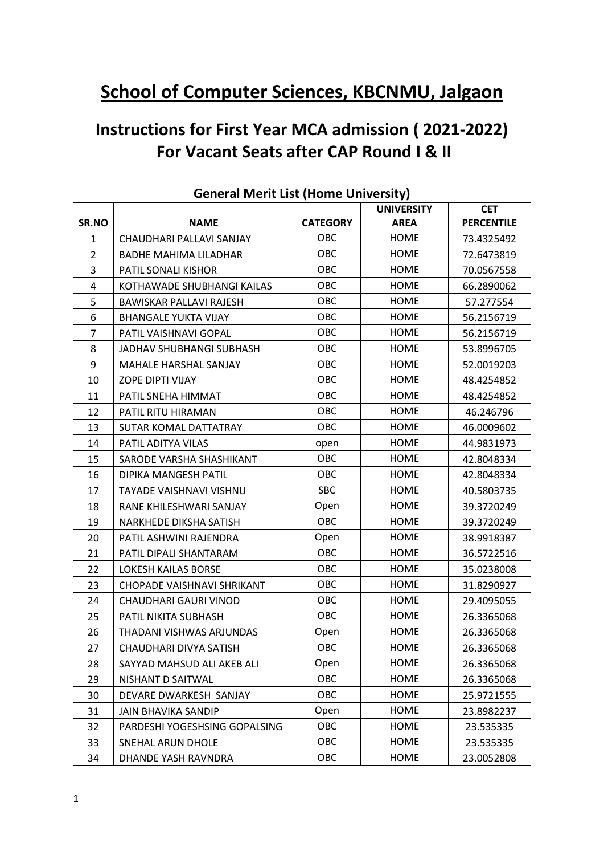# **School of Computer Sciences, KBCNMU, Jalgaon**

## **Instructions for First Year MCA admission ( 2021-2022) For Vacant Seats after CAP Round I & II**

|                |                               |                 | <b>UNIVERSITY</b> | <b>CET</b>        |
|----------------|-------------------------------|-----------------|-------------------|-------------------|
| SR.NO          | <b>NAME</b>                   | <b>CATEGORY</b> | <b>AREA</b>       | <b>PERCENTILE</b> |
| $\mathbf{1}$   | CHAUDHARI PALLAVI SANJAY      | OBC             | <b>HOME</b>       | 73.4325492        |
| $\overline{2}$ | <b>BADHE MAHIMA LILADHAR</b>  | OBC             | HOME              | 72.6473819        |
| 3              | PATIL SONALI KISHOR           | OBC             | <b>HOME</b>       | 70.0567558        |
| 4              | KOTHAWADE SHUBHANGI KAILAS    | OBC             | <b>HOME</b>       | 66.2890062        |
| 5              | BAWISKAR PALLAVI RAJESH       | OBC             | <b>HOME</b>       | 57.277554         |
| 6              | <b>BHANGALE YUKTA VIJAY</b>   | OBC             | <b>HOME</b>       | 56.2156719        |
| $\overline{7}$ | PATIL VAISHNAVI GOPAL         | OBC             | <b>HOME</b>       | 56.2156719        |
| 8              | JADHAV SHUBHANGI SUBHASH      | OBC             | <b>HOME</b>       | 53.8996705        |
| 9              | MAHALE HARSHAL SANJAY         | OBC             | HOME              | 52.0019203        |
| 10             | ZOPE DIPTI VIJAY              | OBC             | <b>HOME</b>       | 48.4254852        |
| 11             | PATIL SNEHA HIMMAT            | OBC             | <b>HOME</b>       | 48.4254852        |
| 12             | PATIL RITU HIRAMAN            | OBC             | <b>HOME</b>       | 46.246796         |
| 13             | <b>SUTAR KOMAL DATTATRAY</b>  | OBC             | <b>HOME</b>       | 46.0009602        |
| 14             | PATIL ADITYA VILAS            | open            | <b>HOME</b>       | 44.9831973        |
| 15             | SARODE VARSHA SHASHIKANT      | OBC             | <b>HOME</b>       | 42.8048334        |
| 16             | <b>DIPIKA MANGESH PATIL</b>   | OBC             | HOME              | 42.8048334        |
| 17             | TAYADE VAISHNAVI VISHNU       | <b>SBC</b>      | <b>HOME</b>       | 40.5803735        |
| 18             | RANE KHILESHWARI SANJAY       | Open            | <b>HOME</b>       | 39.3720249        |
| 19             | NARKHEDE DIKSHA SATISH        | OBC             | <b>HOME</b>       | 39.3720249        |
| 20             | PATIL ASHWINI RAJENDRA        | Open            | <b>HOME</b>       | 38.9918387        |
| 21             | PATIL DIPALI SHANTARAM        | OBC             | <b>HOME</b>       | 36.5722516        |
| 22             | <b>LOKESH KAILAS BORSE</b>    | OBC             | <b>HOME</b>       | 35.0238008        |
| 23             | CHOPADE VAISHNAVI SHRIKANT    | OBC             | HOME              | 31.8290927        |
| 24             | <b>CHAUDHARI GAURI VINOD</b>  | OBC             | <b>HOME</b>       | 29.4095055        |
| 25             | PATIL NIKITA SUBHASH          | OBC             | <b>HOME</b>       | 26.3365068        |
| 26             | THADANI VISHWAS ARJUNDAS      | Open            | <b>HOME</b>       | 26.3365068        |
| 27             | CHAUDHARI DIVYA SATISH        | OBC             | <b>HOME</b>       | 26.3365068        |
| 28             | SAYYAD MAHSUD ALI AKEB ALI    | Open            | <b>HOME</b>       | 26.3365068        |
| 29             | NISHANT D SAITWAL             | OBC             | HOME              | 26.3365068        |
| 30             | DEVARE DWARKESH SANJAY        | OBC             | <b>HOME</b>       | 25.9721555        |
| 31             | <b>JAIN BHAVIKA SANDIP</b>    | Open            | <b>HOME</b>       | 23.8982237        |
| 32             | PARDESHI YOGESHSING GOPALSING | <b>OBC</b>      | <b>HOME</b>       | 23.535335         |
| 33             | SNEHAL ARUN DHOLE             | OBC             | <b>HOME</b>       | 23.535335         |
| 34             | DHANDE YASH RAVNDRA           | OBC             | <b>HOME</b>       | 23.0052808        |

## **General Merit List (Home University)**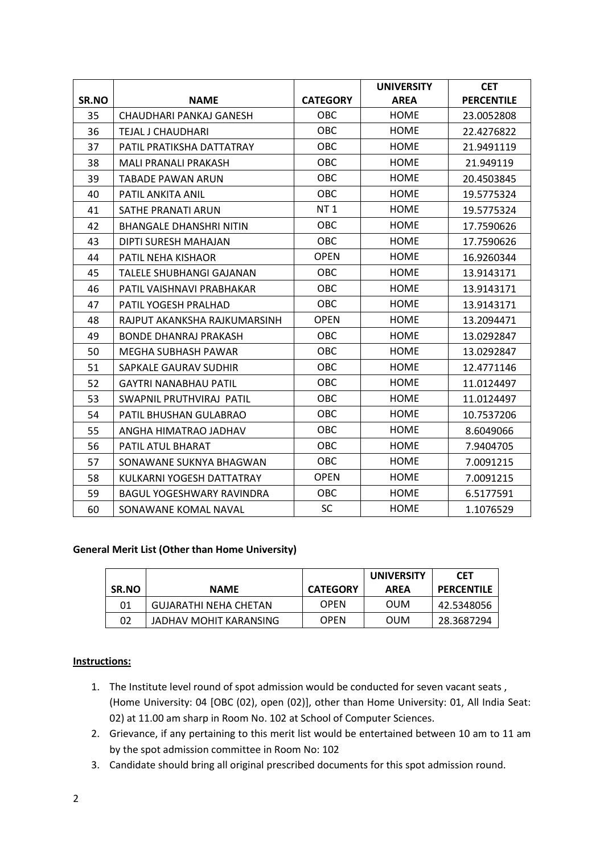|       |                                  |                 | <b>UNIVERSITY</b> | <b>CET</b>        |
|-------|----------------------------------|-----------------|-------------------|-------------------|
| SR.NO | <b>NAME</b>                      | <b>CATEGORY</b> | <b>AREA</b>       | <b>PERCENTILE</b> |
| 35    | CHAUDHARI PANKAJ GANESH          | OBC             | <b>HOME</b>       | 23.0052808        |
| 36    | TEJAL J CHAUDHARI                | OBC             | <b>HOME</b>       | 22.4276822        |
| 37    | PATIL PRATIKSHA DATTATRAY        | OBC             | <b>HOME</b>       | 21.9491119        |
| 38    | <b>MALI PRANALI PRAKASH</b>      | OBC             | <b>HOME</b>       | 21.949119         |
| 39    | <b>TABADE PAWAN ARUN</b>         | OBC             | <b>HOME</b>       | 20.4503845        |
| 40    | PATIL ANKITA ANIL                | OBC             | <b>HOME</b>       | 19.5775324        |
| 41    | SATHE PRANATI ARUN               | <b>NT1</b>      | <b>HOME</b>       | 19.5775324        |
| 42    | <b>BHANGALE DHANSHRI NITIN</b>   | OBC             | <b>HOME</b>       | 17.7590626        |
| 43    | DIPTI SURESH MAHAJAN             | <b>OBC</b>      | <b>HOME</b>       | 17.7590626        |
| 44    | <b>PATIL NEHA KISHAOR</b>        | <b>OPEN</b>     | <b>HOME</b>       | 16.9260344        |
| 45    | TALELE SHUBHANGI GAJANAN         | OBC             | <b>HOME</b>       | 13.9143171        |
| 46    | PATIL VAISHNAVI PRABHAKAR        | OBC             | <b>HOME</b>       | 13.9143171        |
| 47    | PATIL YOGESH PRALHAD             | <b>OBC</b>      | <b>HOME</b>       | 13.9143171        |
| 48    | RAJPUT AKANKSHA RAJKUMARSINH     | <b>OPEN</b>     | <b>HOME</b>       | 13.2094471        |
| 49    | <b>BONDE DHANRAJ PRAKASH</b>     | OBC             | <b>HOME</b>       | 13.0292847        |
| 50    | MEGHA SUBHASH PAWAR              | <b>OBC</b>      | <b>HOME</b>       | 13.0292847        |
| 51    | SAPKALE GAURAV SUDHIR            | OBC             | <b>HOME</b>       | 12.4771146        |
| 52    | <b>GAYTRI NANABHAU PATIL</b>     | OBC             | <b>HOME</b>       | 11.0124497        |
| 53    | SWAPNIL PRUTHVIRAJ PATIL         | <b>OBC</b>      | <b>HOME</b>       | 11.0124497        |
| 54    | PATIL BHUSHAN GULABRAO           | OBC             | <b>HOME</b>       | 10.7537206        |
| 55    | ANGHA HIMATRAO JADHAV            | OBC             | <b>HOME</b>       | 8.6049066         |
| 56    | <b>PATIL ATUL BHARAT</b>         | <b>OBC</b>      | <b>HOME</b>       | 7.9404705         |
| 57    | SONAWANE SUKNYA BHAGWAN          | OBC             | <b>HOME</b>       | 7.0091215         |
| 58    | KULKARNI YOGESH DATTATRAY        | <b>OPEN</b>     | <b>HOME</b>       | 7.0091215         |
| 59    | <b>BAGUL YOGESHWARY RAVINDRA</b> | <b>OBC</b>      | <b>HOME</b>       | 6.5177591         |
| 60    | SONAWANE KOMAL NAVAL             | <b>SC</b>       | <b>HOME</b>       | 1.1076529         |

#### **General Merit List (Other than Home University)**

| SR.NO | <b>NAME</b>                  | <b>CATEGORY</b> | <b>UNIVERSITY</b><br><b>AREA</b> | <b>CET</b><br><b>PERCENTILE</b> |
|-------|------------------------------|-----------------|----------------------------------|---------------------------------|
| 01    | <b>GUJARATHI NEHA CHETAN</b> | <b>OPEN</b>     | <b>OUM</b>                       | 42.5348056                      |
| 02    | JADHAV MOHIT KARANSING       | <b>OPEN</b>     | <b>OUM</b>                       | 28.3687294                      |

#### **Instructions:**

- 1. The Institute level round of spot admission would be conducted for seven vacant seats , (Home University: 04 [OBC (02), open (02)], other than Home University: 01, All India Seat: 02) at 11.00 am sharp in Room No. 102 at School of Computer Sciences.
- 2. Grievance, if any pertaining to this merit list would be entertained between 10 am to 11 am by the spot admission committee in Room No: 102
- 3. Candidate should bring all original prescribed documents for this spot admission round.